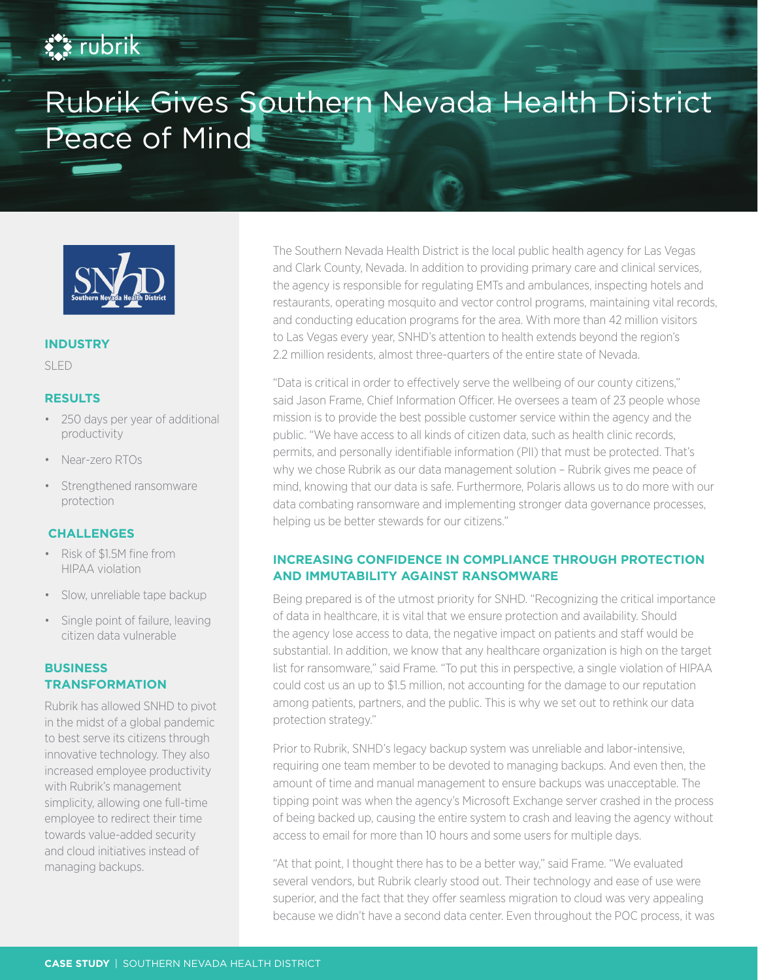# **EX rubrik**

# Rubrik Gives Southern Nevada Health District Peace of Mind



#### **INDUSTRY**

SLED

#### **RESULTS**

- 250 days per year of additional productivity
- Near-zero RTOs
- Strengthened ransomware protection

#### **CHALLENGES**

- Risk of \$1.5M fine from HIPAA violation
- Slow, unreliable tape backup
- Single point of failure, leaving citizen data vulnerable

## **BUSINESS TRANSFORMATION**

Rubrik has allowed SNHD to pivot in the midst of a global pandemic to best serve its citizens through innovative technology. They also increased employee productivity with Rubrik's management simplicity, allowing one full-time employee to redirect their time towards value-added security and cloud initiatives instead of managing backups.

The Southern Nevada Health District is the local public health agency for Las Vegas and Clark County, Nevada. In addition to providing primary care and clinical services, the agency is responsible for regulating EMTs and ambulances, inspecting hotels and restaurants, operating mosquito and vector control programs, maintaining vital records, and conducting education programs for the area. With more than 42 million visitors to Las Vegas every year, SNHD's attention to health extends beyond the region's 2.2 million residents, almost three-quarters of the entire state of Nevada.

"Data is critical in order to effectively serve the wellbeing of our county citizens," said Jason Frame, Chief Information Officer. He oversees a team of 23 people whose mission is to provide the best possible customer service within the agency and the public. "We have access to all kinds of citizen data, such as health clinic records, permits, and personally identifiable information (PII) that must be protected. That's why we chose Rubrik as our data management solution – Rubrik gives me peace of mind, knowing that our data is safe. Furthermore, Polaris allows us to do more with our data combating ransomware and implementing stronger data governance processes, helping us be better stewards for our citizens."

## **INCREASING CONFIDENCE IN COMPLIANCE THROUGH PROTECTION AND IMMUTABILITY AGAINST RANSOMWARE**

Being prepared is of the utmost priority for SNHD. "Recognizing the critical importance of data in healthcare, it is vital that we ensure protection and availability. Should the agency lose access to data, the negative impact on patients and staff would be substantial. In addition, we know that any healthcare organization is high on the target list for ransomware," said Frame. "To put this in perspective, a single violation of HIPAA could cost us an up to \$1.5 million, not accounting for the damage to our reputation among patients, partners, and the public. This is why we set out to rethink our data protection strategy."

Prior to Rubrik, SNHD's legacy backup system was unreliable and labor-intensive, requiring one team member to be devoted to managing backups. And even then, the amount of time and manual management to ensure backups was unacceptable. The tipping point was when the agency's Microsoft Exchange server crashed in the process of being backed up, causing the entire system to crash and leaving the agency without access to email for more than 10 hours and some users for multiple days.

"At that point, I thought there has to be a better way," said Frame. "We evaluated several vendors, but Rubrik clearly stood out. Their technology and ease of use were superior, and the fact that they offer seamless migration to cloud was very appealing because we didn't have a second data center. Even throughout the POC process, it was